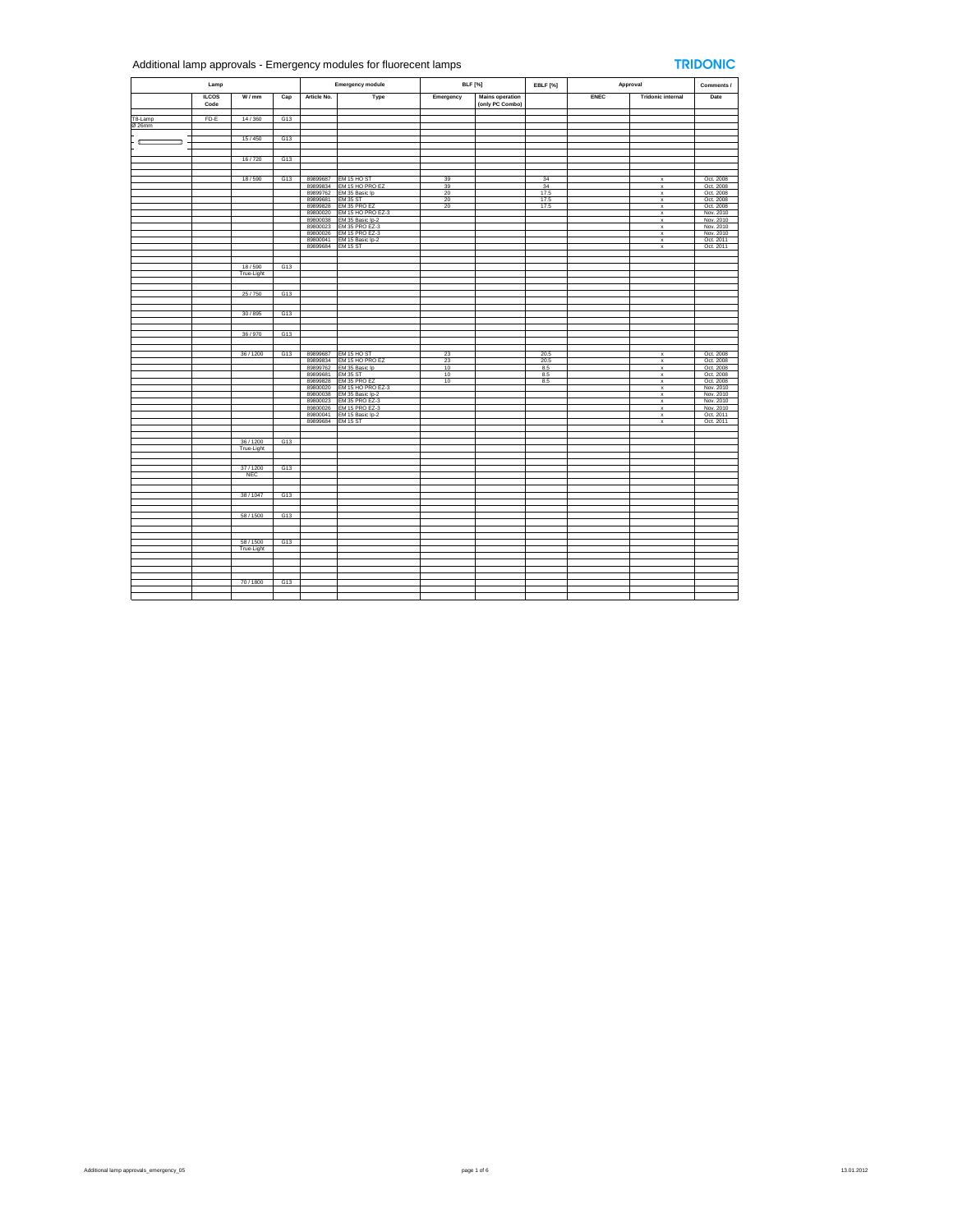## Additional lamp approvals - Emergency modules for fluorecent lamps

## **TRIDONIC**

| Lamp              |                      |                         |     | <b>Emergency module</b> |                                       | <b>BLF</b> [%] |                                           | <b>EBLF</b> [%] | Approval    |                              | Comments /             |
|-------------------|----------------------|-------------------------|-----|-------------------------|---------------------------------------|----------------|-------------------------------------------|-----------------|-------------|------------------------------|------------------------|
|                   | <b>ILCOS</b><br>Code | W/mm                    | Cap | Article No.             | Type                                  | Emergency      | <b>Mains operation</b><br>(only PC Combo) |                 | <b>ENEC</b> | <b>Tridonic internal</b>     | Date                   |
|                   |                      |                         |     |                         |                                       |                |                                           |                 |             |                              |                        |
| T8-Lamp<br>Ø 26mm | FD-E                 | 14/360                  | G13 |                         |                                       |                |                                           |                 |             |                              |                        |
|                   |                      |                         |     |                         |                                       |                |                                           |                 |             |                              |                        |
|                   |                      | 15/450                  | G13 |                         |                                       |                |                                           |                 |             |                              |                        |
|                   |                      |                         |     |                         |                                       |                |                                           |                 |             |                              |                        |
|                   |                      |                         |     |                         |                                       |                |                                           |                 |             |                              |                        |
|                   |                      | 16/720                  | G13 |                         |                                       |                |                                           |                 |             |                              |                        |
|                   |                      |                         |     |                         |                                       |                |                                           |                 |             |                              |                        |
|                   |                      | 18/590                  | G13 | 89899687                | EM 15 HO ST                           | 39             |                                           | 34              |             | $\mathbf{x}$                 | Oct. 2008              |
|                   |                      |                         |     | 89899834                | EM 15 HO PRO EZ                       | 39             |                                           | 34              |             | $\mathbf{x}$                 | Oct. 2008              |
|                   |                      |                         |     | 89899762                | EM 35 Basic Ip                        | 20             |                                           | 17.5            |             | $\mathsf x$                  | Oct. 2008              |
|                   |                      |                         |     | 89899681                | <b>EM 35 ST</b>                       | 20             |                                           | 17.5            |             | $\mathsf x$                  | Oct. 2008              |
|                   |                      |                         |     | 89899828                | EM 35 PRO EZ                          | 20             |                                           | 17.5            |             | $\mathsf{x}$                 | Oct. 2008              |
|                   |                      |                         |     | 89800020<br>89800038    | EM 15 HO PRO EZ-3<br>EM 35 Basic Ip-2 |                |                                           |                 |             | $\mathsf{x}$                 | Nov. 2010<br>Nov. 2010 |
|                   |                      |                         |     | 89800023                | <b>EM 35 PRO EZ-3</b>                 |                |                                           |                 |             | $\mathsf{x}$<br>$\mathsf{x}$ | Nov. 2010              |
|                   |                      |                         |     | 89800026                | EM 15 PRO EZ-3                        |                |                                           |                 |             | $\boldsymbol{\mathsf{x}}$    | Nov. 2010              |
|                   |                      |                         |     | 89800041                | EM 15 Basic Ip-2                      |                |                                           |                 |             | $\mathbf{x}$                 | Oct. 2011<br>Oct. 2011 |
|                   |                      |                         |     | 89899684                | EM 15 ST                              |                |                                           |                 |             | $\boldsymbol{\mathsf{x}}$    |                        |
|                   |                      |                         |     |                         |                                       |                |                                           |                 |             |                              |                        |
|                   |                      |                         |     |                         |                                       |                |                                           |                 |             |                              |                        |
|                   |                      | 18/590<br>True-Light    | G13 |                         |                                       |                |                                           |                 |             |                              |                        |
|                   |                      |                         |     |                         |                                       |                |                                           |                 |             |                              |                        |
|                   |                      |                         |     |                         |                                       |                |                                           |                 |             |                              |                        |
|                   |                      | 25/750                  | G13 |                         |                                       |                |                                           |                 |             |                              |                        |
|                   |                      |                         |     |                         |                                       |                |                                           |                 |             |                              |                        |
|                   |                      |                         |     |                         |                                       |                |                                           |                 |             |                              |                        |
|                   |                      | 30/895                  | G13 |                         |                                       |                |                                           |                 |             |                              |                        |
|                   |                      |                         |     |                         |                                       |                |                                           |                 |             |                              |                        |
|                   |                      | 36/970                  | G13 |                         |                                       |                |                                           |                 |             |                              |                        |
|                   |                      |                         |     |                         |                                       |                |                                           |                 |             |                              |                        |
|                   |                      |                         |     |                         |                                       |                |                                           |                 |             |                              |                        |
|                   |                      | 36/1200                 | G13 | 89899687                | EM 15 HO ST                           | 23             |                                           | 20.5            |             | $\mathsf x$                  | Oct. 2008              |
|                   |                      |                         |     | 89899834                | EM 15 HO PRO EZ                       | 23             |                                           | 20.5            |             | $\mathbf x$                  | Oct. 2008              |
|                   |                      |                         |     | 89899762                | EM 35 Basic Ip                        | 10             |                                           | 8.5             |             | $\mathbf{x}$                 | Oct. 2008              |
|                   |                      |                         |     | 89899681                | <b>EM 35 ST</b>                       | 10             |                                           | 8.5             |             | $\mathsf x$                  | Oct. 2008              |
|                   |                      |                         |     | 89899828<br>89800020    | EM 35 PRO EZ<br>EM 15 HO PRO EZ-3     | 10             |                                           | 8.5             |             | $\mathsf{x}$<br>$\mathbf x$  | Oct. 2008<br>Nov. 2010 |
|                   |                      |                         |     | 89800038                | EM 35 Basic Ip-2                      |                |                                           |                 |             | $\mathsf x$                  | Nov. 2010              |
|                   |                      |                         |     | 89800023                | EM 35 PRO EZ-3                        |                |                                           |                 |             | $\mathsf{x}$                 | Nov. 2010              |
|                   |                      |                         |     | 89800026                | <b>EM 15 PRO EZ-3</b>                 |                |                                           |                 |             | $\mathsf x$                  | Nov. 2010              |
|                   |                      |                         |     | 89800041                | EM 15 Basic Ip-2                      |                |                                           |                 |             | $\boldsymbol{\mathsf{x}}$    | Oct. 2011              |
|                   |                      |                         |     | 89899684                | <b>EM 15 ST</b>                       |                |                                           |                 |             | $\boldsymbol{\mathsf{x}}$    | Oct. 2011              |
|                   |                      |                         |     |                         |                                       |                |                                           |                 |             |                              |                        |
|                   |                      | 36/1200                 | G13 |                         |                                       |                |                                           |                 |             |                              |                        |
|                   |                      | True-Light              |     |                         |                                       |                |                                           |                 |             |                              |                        |
|                   |                      |                         |     |                         |                                       |                |                                           |                 |             |                              |                        |
|                   |                      |                         |     |                         |                                       |                |                                           |                 |             |                              |                        |
|                   |                      | 37/1200                 | G13 |                         |                                       |                |                                           |                 |             |                              |                        |
|                   |                      | <b>NEC</b>              |     |                         |                                       |                |                                           |                 |             |                              |                        |
|                   |                      |                         |     |                         |                                       |                |                                           |                 |             |                              |                        |
|                   |                      | 38/1047                 | G13 |                         |                                       |                |                                           |                 |             |                              |                        |
|                   |                      |                         |     |                         |                                       |                |                                           |                 |             |                              |                        |
|                   |                      |                         |     |                         |                                       |                |                                           |                 |             |                              |                        |
|                   |                      | 58 / 1500               | G13 |                         |                                       |                |                                           |                 |             |                              |                        |
|                   |                      |                         |     |                         |                                       |                |                                           |                 |             |                              |                        |
|                   |                      |                         |     |                         |                                       |                |                                           |                 |             |                              |                        |
|                   |                      |                         | G13 |                         |                                       |                |                                           |                 |             |                              |                        |
|                   |                      | 58 / 1500<br>True-Light |     |                         |                                       |                |                                           |                 |             |                              |                        |
|                   |                      |                         |     |                         |                                       |                |                                           |                 |             |                              |                        |
|                   |                      |                         |     |                         |                                       |                |                                           |                 |             |                              |                        |
|                   |                      |                         |     |                         |                                       |                |                                           |                 |             |                              |                        |
|                   |                      |                         |     |                         |                                       |                |                                           |                 |             |                              |                        |
|                   |                      | 70/1800                 | G13 |                         |                                       |                |                                           |                 |             |                              |                        |
|                   |                      |                         |     |                         |                                       |                |                                           |                 |             |                              |                        |
|                   |                      |                         |     |                         |                                       |                |                                           |                 |             |                              |                        |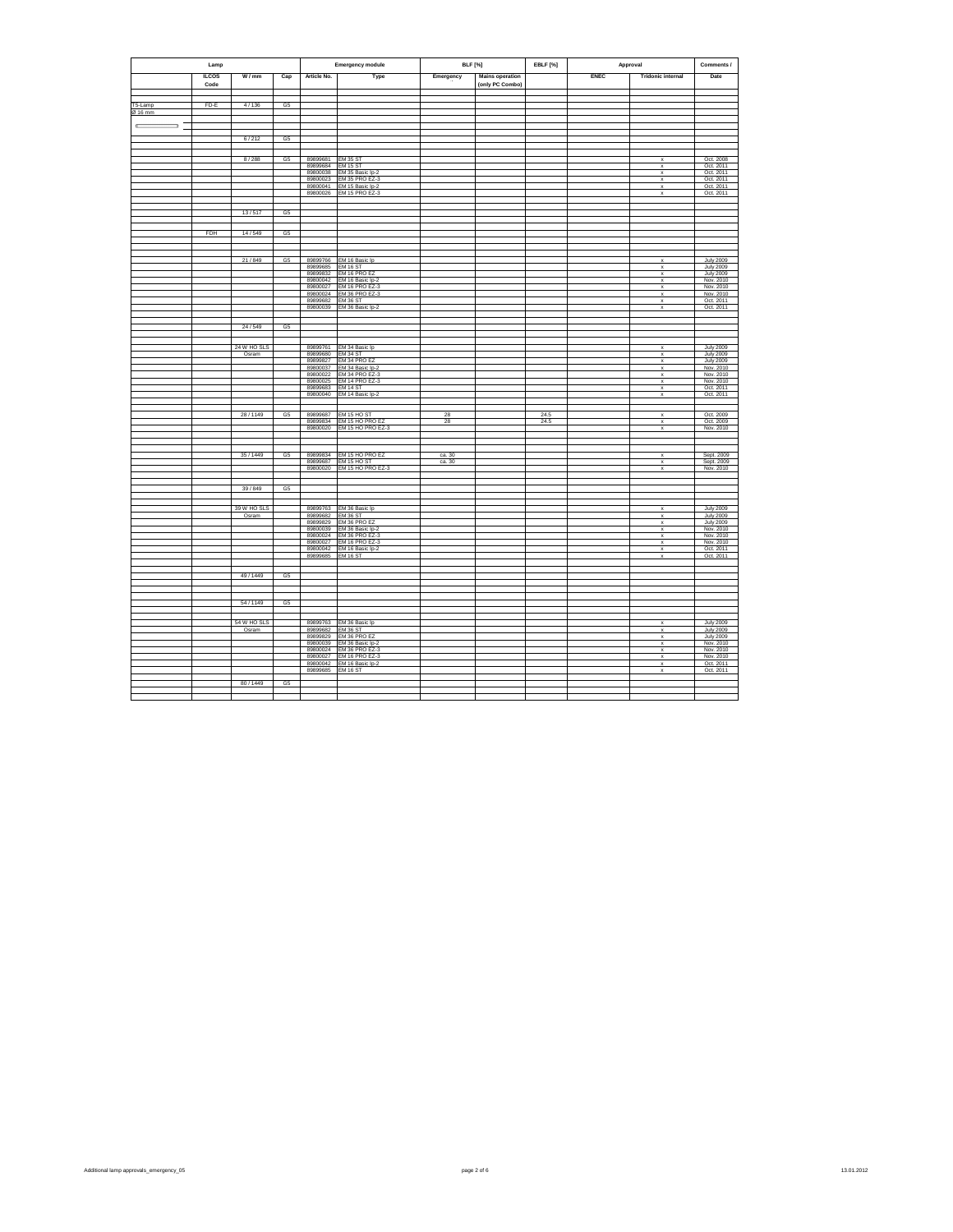| Lamp               |              |                      |                | <b>Emergency module</b> | <b>BLF</b> [%]                             |                  | EBLF [%]               | Approval |             | Comments /                                             |                                      |
|--------------------|--------------|----------------------|----------------|-------------------------|--------------------------------------------|------------------|------------------------|----------|-------------|--------------------------------------------------------|--------------------------------------|
|                    | <b>ILCOS</b> | W/mm                 | Cap            | Article No.             | Type                                       | Emergency        | <b>Mains operation</b> |          | <b>ENEC</b> | <b>Tridonic internal</b>                               | Date                                 |
|                    | Code         |                      |                |                         |                                            |                  | (only PC Combo)        |          |             |                                                        |                                      |
|                    |              |                      |                |                         |                                            |                  |                        |          |             |                                                        |                                      |
| T5-Lamp<br>Ø 16 mm | FD-E         | 4/136                | G5             |                         |                                            |                  |                        |          |             |                                                        |                                      |
|                    |              |                      |                |                         |                                            |                  |                        |          |             |                                                        |                                      |
| Œ<br>$\Rightarrow$ |              |                      |                |                         |                                            |                  |                        |          |             |                                                        |                                      |
|                    |              | 6/212                | G <sub>5</sub> |                         |                                            |                  |                        |          |             |                                                        |                                      |
|                    |              |                      |                |                         |                                            |                  |                        |          |             |                                                        |                                      |
|                    |              | 8/288                | G5             | 89899681                | EM 35 ST                                   |                  |                        |          |             | $\overline{\mathbf{x}}$                                | Oct. 2008                            |
|                    |              |                      |                | 89899684                | <b>EM 15 ST</b>                            |                  |                        |          |             | $\mathsf x$                                            | Oct. 2011                            |
|                    |              |                      |                | 89800038<br>89800023    | EM 35 Basic Ip-2<br>EM 35 PRO EZ-3         |                  |                        |          |             | $\mathbf x$<br>$\mathsf{x}$                            | Oct. 2011<br>Oct. 2011               |
|                    |              |                      |                | 89800041                | EM 15 Basic lp-2                           |                  |                        |          |             | $\mathbf{x}$                                           | Oct. 2011                            |
|                    |              |                      |                | 89800026                | <b>EM 15 PRO EZ-3</b>                      |                  |                        |          |             | $\boldsymbol{\mathsf{x}}$                              | Oct. 2011                            |
|                    |              |                      |                |                         |                                            |                  |                        |          |             |                                                        |                                      |
|                    |              | 13/517               | G <sub>5</sub> |                         |                                            |                  |                        |          |             |                                                        |                                      |
|                    |              |                      |                |                         |                                            |                  |                        |          |             |                                                        |                                      |
|                    | <b>FDH</b>   | 14/549               | G <sub>5</sub> |                         |                                            |                  |                        |          |             |                                                        |                                      |
|                    |              |                      |                |                         |                                            |                  |                        |          |             |                                                        |                                      |
|                    |              | 21/849               | G <sub>5</sub> | 89899766                | EM 16 Basic Ip                             |                  |                        |          |             | $\mathbf x$                                            | <b>July 2009</b>                     |
|                    |              |                      |                | 89899685                | <b>EM 16 ST</b>                            |                  |                        |          |             | $\boldsymbol{\mathsf{x}}$                              | <b>July 2009</b>                     |
|                    |              |                      |                | 89899832                | EM 16 PRO EZ                               |                  |                        |          |             | $\mathbf{x}$                                           | <b>July 2009</b>                     |
|                    |              |                      |                | 89800042<br>89800027    | EM 16 Basic Ip-2<br>EM 16 PRO EZ-3         |                  |                        |          |             | $\mathsf x$<br>x                                       | Nov. 2010<br>Nov. 2010               |
|                    |              |                      |                | 89800024                | EM 36 PRO EZ-3                             |                  |                        |          |             | $\mathsf x$                                            | Nov. 2010                            |
|                    |              |                      |                | 89899682<br>89800039    | <b>EM 36 ST</b><br>EM 36 Basic Ip-2        |                  |                        |          |             | $\overline{\mathbf{x}}$<br>$\mathbf{x}$                | Oct. 2011<br>Oct. 2011               |
|                    |              |                      |                |                         |                                            |                  |                        |          |             |                                                        |                                      |
|                    |              | 24/549               | G <sub>5</sub> |                         |                                            |                  |                        |          |             |                                                        |                                      |
|                    |              |                      |                |                         |                                            |                  |                        |          |             |                                                        |                                      |
|                    |              |                      |                |                         |                                            |                  |                        |          |             |                                                        |                                      |
|                    |              | 24 W HO SLS<br>Osram |                | 89899761<br>89899680    | EM 34 Basic Ip<br>EM 34 ST                 |                  |                        |          |             | $\boldsymbol{\mathsf{x}}$<br>$\mathbf x$               | <b>July 2009</b><br><b>July 2009</b> |
|                    |              |                      |                | 89899827                | EM 34 PRO EZ                               |                  |                        |          |             | $\mathsf x$                                            | <b>July 2009</b>                     |
|                    |              |                      |                | 89800037<br>89800022    | EM 34 Basic lp-2<br>EM 34 PRO EZ-3         |                  |                        |          |             | $\boldsymbol{\mathsf{x}}$<br>$\boldsymbol{\mathsf{x}}$ | Nov. 2010<br>Nov. 2010               |
|                    |              |                      |                | 89800025                | <b>EM 14 PRO EZ-3</b>                      |                  |                        |          |             | $\mathbf x$                                            | Nov. 2010                            |
|                    |              |                      |                | 89899683<br>89800040    | <b>FM 14 ST</b><br>EM 14 Basic Ip-2        |                  |                        |          |             | $\mathbf{x}$<br>$\mathbf{x}$                           | Oct. 2011<br>Oct. 2011               |
|                    |              |                      |                |                         |                                            |                  |                        |          |             |                                                        |                                      |
|                    |              | 28/1149              | G5             | 89899687                | EM 15 HO ST                                | 28               |                        | 24.5     |             | x                                                      | Oct. 2009                            |
|                    |              |                      |                | 89899834                | EM 15 HO PRO EZ                            | 28               |                        | 24.5     |             | x                                                      | Oct. 2009                            |
|                    |              |                      |                | 89800020                | EM 15 HO PRO EZ-3                          |                  |                        |          |             | $\boldsymbol{\mathsf{x}}$                              | Nov. 2010                            |
|                    |              |                      |                |                         |                                            |                  |                        |          |             |                                                        |                                      |
|                    |              |                      | G5             | 89899834                |                                            |                  |                        |          |             | $\mathbf{x}$                                           |                                      |
|                    |              | 35/1449              |                | 89899687                | EM 15 HO PRO EZ<br>EM 15 HO ST             | ca. 30<br>ca. 30 |                        |          |             | $\mathsf{x}$                                           | Sept. 2009<br>Sept. 2009             |
|                    |              |                      |                | 89800020                | EM 15 HO PRO EZ-3                          |                  |                        |          |             | x                                                      | Nov. 2010                            |
|                    |              |                      |                |                         |                                            |                  |                        |          |             |                                                        |                                      |
|                    |              | 39/849               | G <sub>5</sub> |                         |                                            |                  |                        |          |             |                                                        |                                      |
|                    |              |                      |                |                         |                                            |                  |                        |          |             |                                                        |                                      |
|                    |              | 39 W HO SLS          |                | 89899763                | EM 36 Basic Ip                             |                  |                        |          |             | $\mathbf{x}$                                           | <b>July 2009</b>                     |
|                    |              | Osram                |                | 89899682                | <b>EM 36 ST</b><br>EM 36 PRO EZ            |                  |                        |          |             | $\boldsymbol{\mathsf{x}}$<br>$\mathbf x$               | <b>July 2009</b>                     |
|                    |              |                      |                | 89899829<br>89800039    | EM 36 Basic Ip-2                           |                  |                        |          |             | $\boldsymbol{\mathsf{x}}$                              | <b>July 2009</b><br>Nov. 2010        |
|                    |              |                      |                | 89800024<br>89800027    | EM 36 PRO EZ-3<br>EM 16 PRO EZ-3           |                  |                        |          |             | $\mathbf x$                                            | Nov. 2010<br>Nov. 2010               |
|                    |              |                      |                | 89800042                | EM 16 Basic Ip-2                           |                  |                        |          |             | $\mathsf x$<br>$\boldsymbol{\mathsf{x}}$               | Oct. 2011                            |
|                    |              |                      |                | 89899685                | <b>EM 16 ST</b>                            |                  |                        |          |             | $\pmb{\times}$                                         | Oct. 2011                            |
|                    |              |                      |                |                         |                                            |                  |                        |          |             |                                                        |                                      |
|                    |              | 49/1449              | G <sub>5</sub> |                         |                                            |                  |                        |          |             |                                                        |                                      |
|                    |              |                      |                |                         |                                            |                  |                        |          |             |                                                        |                                      |
|                    |              |                      |                |                         |                                            |                  |                        |          |             |                                                        |                                      |
|                    |              | 54 / 1149            | G <sub>5</sub> |                         |                                            |                  |                        |          |             |                                                        |                                      |
|                    |              |                      |                |                         |                                            |                  |                        |          |             |                                                        |                                      |
|                    |              | 54 W HO SLS<br>Osram |                | 89899682                | 89899763 EM 36 Basic Ip<br><b>EM 36 ST</b> |                  |                        |          |             | $\boldsymbol{\mathsf{x}}$<br>$\mathbf{x}$              | <b>July 2009</b><br><b>July 2009</b> |
|                    |              |                      |                | 89899829                | FM 36 PRO FZ                               |                  |                        |          |             | $\mathbf{x}$                                           | <b>July 2009</b>                     |
|                    |              |                      |                | 89800039                | EM 36 Basic Ip-2<br>EM 36 PRO EZ-3         |                  |                        |          |             | $\mathsf x$                                            | Nov. 2010<br>Nov. 2010               |
|                    |              |                      |                | 89800024<br>89800027    | <b>EM 16 PRO EZ-3</b>                      |                  |                        |          |             | X<br>$\pmb{\mathsf{x}}$                                | Nov. 2010                            |
|                    |              |                      |                | 89800042                | EM 16 Basic Ip-2                           |                  |                        |          |             | $\overline{\mathbf{x}}$                                | Oct. 2011                            |
|                    |              |                      |                | 89899685                | EM 16 ST                                   |                  |                        |          |             | $\boldsymbol{\mathsf{x}}$                              | Oct. 2011                            |
|                    |              | 80/1449              | G <sub>5</sub> |                         |                                            |                  |                        |          |             |                                                        |                                      |
|                    |              |                      |                |                         |                                            |                  |                        |          |             |                                                        |                                      |
|                    |              |                      |                |                         |                                            |                  |                        |          |             |                                                        |                                      |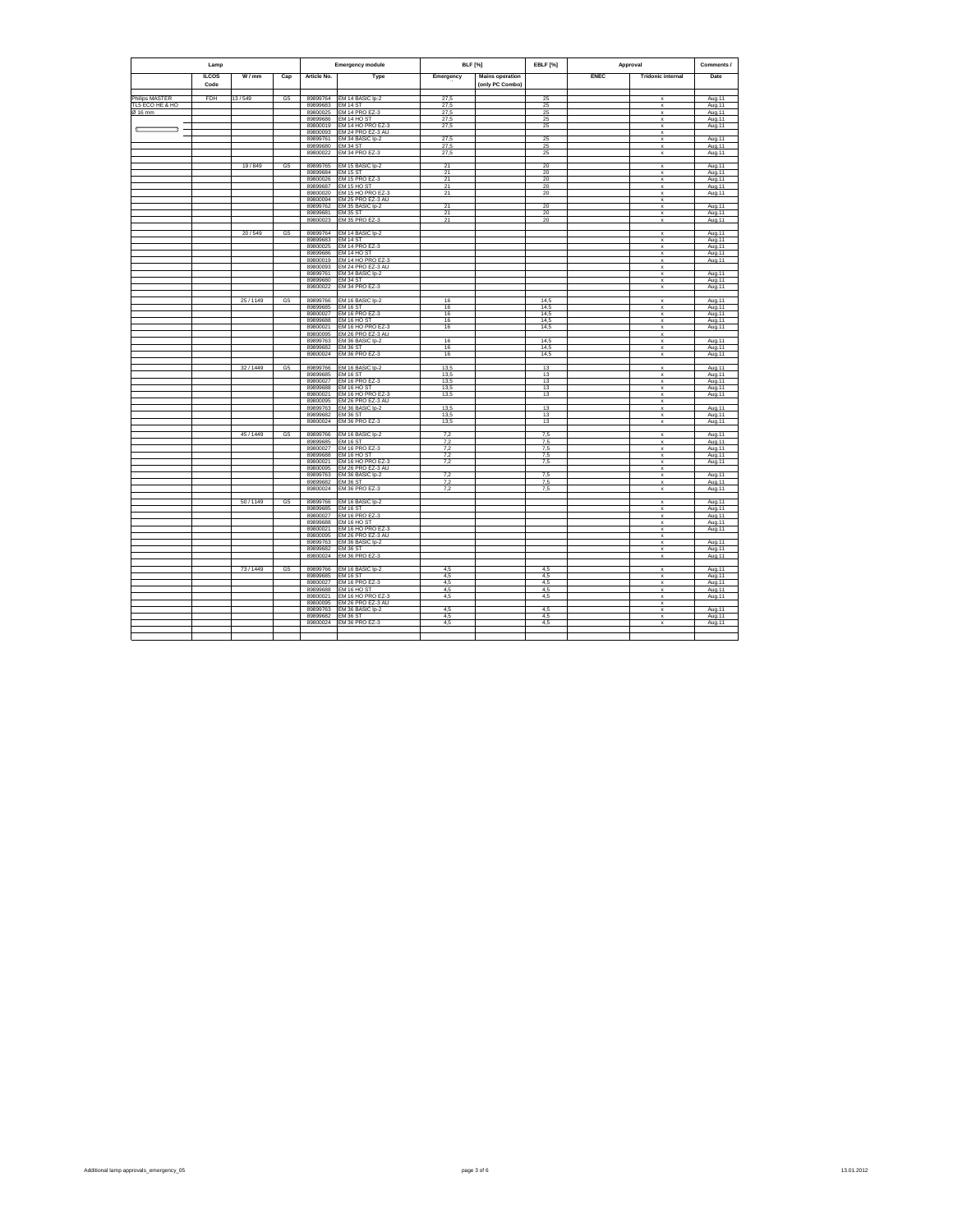|                                   | Lamp                 |         |                | <b>Emergency module</b> |                                         | <b>BLF</b> [%] |                                           | EBLF [%]   | Approval    | Comments /                                |                   |
|-----------------------------------|----------------------|---------|----------------|-------------------------|-----------------------------------------|----------------|-------------------------------------------|------------|-------------|-------------------------------------------|-------------------|
|                                   | <b>ILCOS</b><br>Code | W/mm    | Cap            | Article No.             | Type                                    | Emergency      | <b>Mains operation</b><br>(only PC Combo) |            | <b>ENEC</b> | <b>Tridonic internal</b>                  | Date              |
|                                   | FDH                  | 13/549  |                |                         |                                         |                |                                           |            |             |                                           |                   |
| Philips MASTER<br>TL5 ECO HE & HO |                      |         | G5             | 89899764<br>89899683    | EM 14 BASIC Ip-2<br>EM 14 ST            | 27,5<br>27,5   |                                           | 25<br>25   |             | $\mathsf{x}$<br>X                         | Aug.11<br>Aug.11  |
| Ø 16 mm                           |                      |         |                | 89800025                | EM 14 PRO EZ-3                          | 27.5           |                                           | 25         |             | $\mathbf x$                               | Aug.11            |
|                                   |                      |         |                | 89899686                | EM 14 HO ST                             | 27,5           |                                           | 25         |             | $\mathbf x$                               | Aug.11            |
| ÷                                 |                      |         |                | 89800019                | <b>EM 14 HO PRO EZ-3</b>                | 27,5           |                                           | 25         |             | $\mathbf x$                               | Aug.11            |
|                                   |                      |         |                | 89800093                | EM 24 PRO EZ-3 AU                       |                |                                           |            |             | x                                         |                   |
|                                   |                      |         |                | 89899761                | EM 34 BASIC Ip-2                        | 27,5           |                                           | 25         |             | $\overline{\mathbf{x}}$                   | Aug.11            |
|                                   |                      |         |                | 89899680                | EM 34 ST                                | 27.5           |                                           | 25         |             | $\mathbf x$                               | Aug.11            |
|                                   |                      |         |                | 89800022                | EM 34 PRO EZ-3                          | 27,5           |                                           | 25         |             | $\mathbf x$                               | Aug.11            |
|                                   |                      |         |                |                         |                                         |                |                                           |            |             |                                           |                   |
|                                   |                      | 19/849  | G5             | 89899765                | EM 15 BASIC Ip-2                        | 21             |                                           | 20         |             | $\mathbf x$                               | Aug.11            |
|                                   |                      |         |                | 89899684                | <b>EM 15 ST</b>                         | 21<br>21       |                                           | 20<br>20   |             | $\mathbf x$<br>$\mathbf x$                | Aug.11            |
|                                   |                      |         |                | 89800026<br>89899687    | EM 15 PRO EZ-3<br>EM 15 HO ST           | 21             |                                           | 20         |             | $\mathbf x$                               | Aug.11<br>Aug. 11 |
|                                   |                      |         |                | 89800020                | EM 15 HO PRO EZ-3                       | 21             |                                           | 20         |             | $\mathsf x$                               | Aug.11            |
|                                   |                      |         |                | 89800094                | EM 25 PRO EZ-3 AU                       |                |                                           |            |             | $\boldsymbol{\mathsf{x}}$                 |                   |
|                                   |                      |         |                | 89899762                | EM 35 BASIC Ip-2                        | 21             |                                           | 20         |             | $\mathsf x$                               | Aug.11            |
|                                   |                      |         |                | 89899681                | <b>EM 35 ST</b>                         | $^{21}$        |                                           | 20         |             | $\mathbf x$                               | Aug.11            |
|                                   |                      |         |                | 89800023                | EM 35 PRO EZ-3                          | 21             |                                           | 20         |             | $\boldsymbol{\mathsf{x}}$                 | Aug.11            |
|                                   |                      | 20/549  | G <sub>5</sub> | 89899764                | EM 14 BASIC Ip-2                        |                |                                           |            |             | $\mathbf{x}$                              | Aug. 11           |
|                                   |                      |         |                | 89899683                | <b>EM 14 ST</b>                         |                |                                           |            |             | $\mathbf x$                               | Aug.11            |
|                                   |                      |         |                | 89800025                | EM 14 PRO EZ-3                          |                |                                           |            |             | $\mathbf x$                               | Aug.11            |
|                                   |                      |         |                | 89899686                | EM 14 HO ST                             |                |                                           |            |             | $\mathbf x$                               | Aug.11            |
|                                   |                      |         |                | 89800019                | EM 14 HO PRO EZ-3                       |                |                                           |            |             | $\mathbf x$                               | Aug.11            |
|                                   |                      |         |                | 89800093                | EM 24 PRO EZ-3 AU                       |                |                                           |            |             | $\mathsf x$                               |                   |
|                                   |                      |         |                | 89899761<br>89899680    | EM 34 BASIC Ip-2<br><b>FM 34 ST</b>     |                |                                           |            |             | $\mathsf x$                               | Aug.11            |
|                                   |                      |         |                | 89800022                | EM 34 PRO EZ-3                          |                |                                           |            |             | $\mathbf x$<br>x                          | Aug.11<br>Aug.11  |
|                                   |                      |         |                |                         |                                         |                |                                           |            |             |                                           |                   |
|                                   |                      | 25/1149 | G <sub>5</sub> | 89899766                | EM 16 BASIC Ip-2                        | 16             |                                           | 14,5       |             | $\mathsf x$                               | Aug.11            |
|                                   |                      |         |                | 89899685                | <b>EM 16 ST</b>                         | 16             |                                           | 14,5       |             | $\overline{\mathbf{x}}$                   | Aug.11            |
|                                   |                      |         |                | 89800027                | FM 16 PRO F7-3                          | 16             |                                           | 14.5       |             | $\mathbf x$                               | Aug.11            |
|                                   |                      |         |                | 89899688                | EM 16 HO ST                             | 16             |                                           | 14,5       |             | x                                         | Aug.11            |
|                                   |                      |         |                | 89800021                | EM 16 HO PRO EZ-3                       | 16             |                                           | 14,5       |             | $\mathbf x$                               | Aug.11            |
|                                   |                      |         |                | 89800095                | EM 26 PRO EZ-3 AU                       |                |                                           |            |             | $\mathsf x$                               |                   |
|                                   |                      |         |                | 89899763                | EM 36 BASIC Ip-2                        | 16             |                                           | 14.5       |             | $\mathbf x$                               | Aug.11            |
|                                   |                      |         |                | 89899682                | <b>EM 36 ST</b>                         | 16             |                                           | 14,5       |             | $\mathbf x$                               | Aug.11            |
|                                   |                      |         |                | 89800024                | EM 36 PRO EZ-3                          | 16             |                                           | 14,5       |             | $\mathbf x$                               | Aug.11            |
|                                   |                      |         |                |                         |                                         |                |                                           |            |             |                                           |                   |
|                                   |                      | 32/1449 | G <sub>5</sub> | 89899766                | EM 16 BASIC Ip-2                        | 13,5<br>13.5   |                                           | 13         |             | ×                                         | Aug. 11           |
|                                   |                      |         |                | 89899685<br>89800027    | <b>EM 16 ST</b><br>EM 16 PRO EZ-3       | 13,5           |                                           | 13<br>13   |             | $\mathbf x$<br>$\mathbf x$                | Aug.11<br>Aug.11  |
|                                   |                      |         |                | 88899888                | <b>FM 16 HO ST</b>                      | 13.5           |                                           | 13         |             | $\mathbf x$                               | Aug.11            |
|                                   |                      |         |                | 89800021                | EM 16 HO PRO EZ-3                       | 13,5           |                                           | 13         |             | $\mathbf{x}$                              | Aug.11            |
|                                   |                      |         |                | 89800095                | EM 26 PRO EZ-3 AU                       |                |                                           |            |             | $\mathbf{x}$                              |                   |
|                                   |                      |         |                | 89899763                | EM 36 BASIC Ip-2                        | 13,5           |                                           | 13         |             | $\mathbf x$                               | Aug.11            |
|                                   |                      |         |                | 89899682                | <b>EM 36 ST</b>                         | 13,5           |                                           | 13         |             | $\mathbf x$                               | Aug. 11           |
|                                   |                      |         |                | 89800024                | EM 36 PRO EZ-3                          | 13,5           |                                           | 13         |             | ×                                         | Aug.11            |
|                                   |                      |         |                |                         |                                         |                |                                           |            |             |                                           |                   |
|                                   |                      | 45/1449 | G <sub>5</sub> | 89899766                | EM 16 BASIC Ip-2                        | 7,2            |                                           | 7,5        |             | $\mathsf x$                               | Aug.11            |
|                                   |                      |         |                | 89899685                | EM 16 ST                                | 7,2            |                                           | 7,5        |             | ×                                         | Aug.11            |
|                                   |                      |         |                | 89800027                | <b>EM 16 PRO EZ-3</b>                   | 7,2            |                                           | 75         |             | $\mathbf x$                               | Aug.11            |
|                                   |                      |         |                | 89899688<br>89800021    | EM 16 HO ST<br><b>EM 16 HO PRO EZ-3</b> | 7,2<br>7,2     |                                           | 7,5<br>7,5 |             | x                                         | Aug.11            |
|                                   |                      |         |                | 89800095                | EM 26 PRO EZ-3 AU                       |                |                                           |            |             | $\mathbf{x}$<br>$\mathbf x$               | Aug.11            |
|                                   |                      |         |                | 89899763                | EM 36 BASIC Ip-2                        | 7,2            |                                           | 7,5        |             | $\mathbf x$                               | Aug.11            |
|                                   |                      |         |                | 89899682                | EM 36 ST                                | 7,2            |                                           | 7.5        |             | $\mathbf{x}$                              | Aug.11            |
|                                   |                      |         |                | 89800024                | EM 36 PRO EZ-3                          | 7,2            |                                           | 7,5        |             | $\mathbf x$                               | Aug.11            |
|                                   |                      |         |                |                         |                                         |                |                                           |            |             |                                           |                   |
|                                   |                      | 50/1149 | G5             | 89899766                | EM 16 BASIC Ip-2                        |                |                                           |            |             | $\mathsf x$                               | Aug.11            |
|                                   |                      |         |                | 89899685                | <b>EM 16 ST</b>                         |                |                                           |            |             | $\mathbf x$                               | Aug.11            |
|                                   |                      |         |                | 89800027                | EM 16 PRO EZ-3                          |                |                                           |            |             | $\mathbf x$                               | Aug.11            |
|                                   |                      |         |                | 89899688                | EM 16 HO ST                             |                |                                           |            |             | $\mathbf{x}$                              | Aug. 11           |
|                                   |                      |         |                | 89800021                | EM 16 HO PRO EZ-3                       |                |                                           |            |             | $\mathsf{x}$                              | Aug.11            |
|                                   |                      |         |                | 89800095                | EM 26 PRO EZ-3 AU                       |                |                                           |            |             | ×                                         |                   |
|                                   |                      |         |                | 89899763                | EM 36 BASIC Ip-2<br><b>EM 36 ST</b>     |                |                                           |            |             | $\mathbf x$                               | Aug.11            |
|                                   |                      |         |                | 89899682<br>89800024    | EM 36 PRO EZ-3                          |                |                                           |            |             | $\boldsymbol{\mathsf{x}}$<br>$\mathbf{x}$ | Aug.11            |
|                                   |                      |         |                |                         |                                         |                |                                           |            |             |                                           | Aug.11            |
|                                   |                      | 73/1449 | G5             | 89899766                | EM 16 BASIC Ip-2                        | 4,5            |                                           | 4,5        |             | $\overline{\mathbf{x}}$                   | Aug.11            |
|                                   |                      |         |                | 89899685                | <b>EM 16 ST</b>                         | 4,5            |                                           | 4,5        |             | $\mathbf x$                               | Aug.11            |
|                                   |                      |         |                | 89800027                | EM 16 PRO EZ-3                          | 4,5            |                                           | 4,5        |             | $\mathbf x$                               | Aug.11            |
|                                   |                      |         |                | 89899688                | EM 16 HO ST                             | 4,5            |                                           | 4,5        |             | $\mathbf{x}$                              | Aug.11            |
|                                   |                      |         |                | 89800021                | EM 16 HO PRO EZ-3                       | 4,5            |                                           | 4,5        |             | $\mathbf x$                               | Aug.11            |
|                                   |                      |         |                | 89800095                | EM 26 PRO EZ-3 AU                       |                |                                           |            |             | $\mathsf x$                               |                   |
|                                   |                      |         |                | 89899763                | EM 36 BASIC Ip-2                        | 4,5            |                                           | 4,5        |             | ×                                         | Aug.11            |
|                                   |                      |         |                | 89899682                | EM 36 ST                                | 4.5            |                                           | 4.5        |             | $\mathbf x$                               | Aug.11            |
|                                   |                      |         |                | 89800024                | EM 36 PRO EZ-3                          | 4,5            |                                           | 4,5        |             | ×                                         | Aug.11            |
|                                   |                      |         |                |                         |                                         |                |                                           |            |             |                                           |                   |
|                                   |                      |         |                |                         |                                         |                |                                           |            |             |                                           |                   |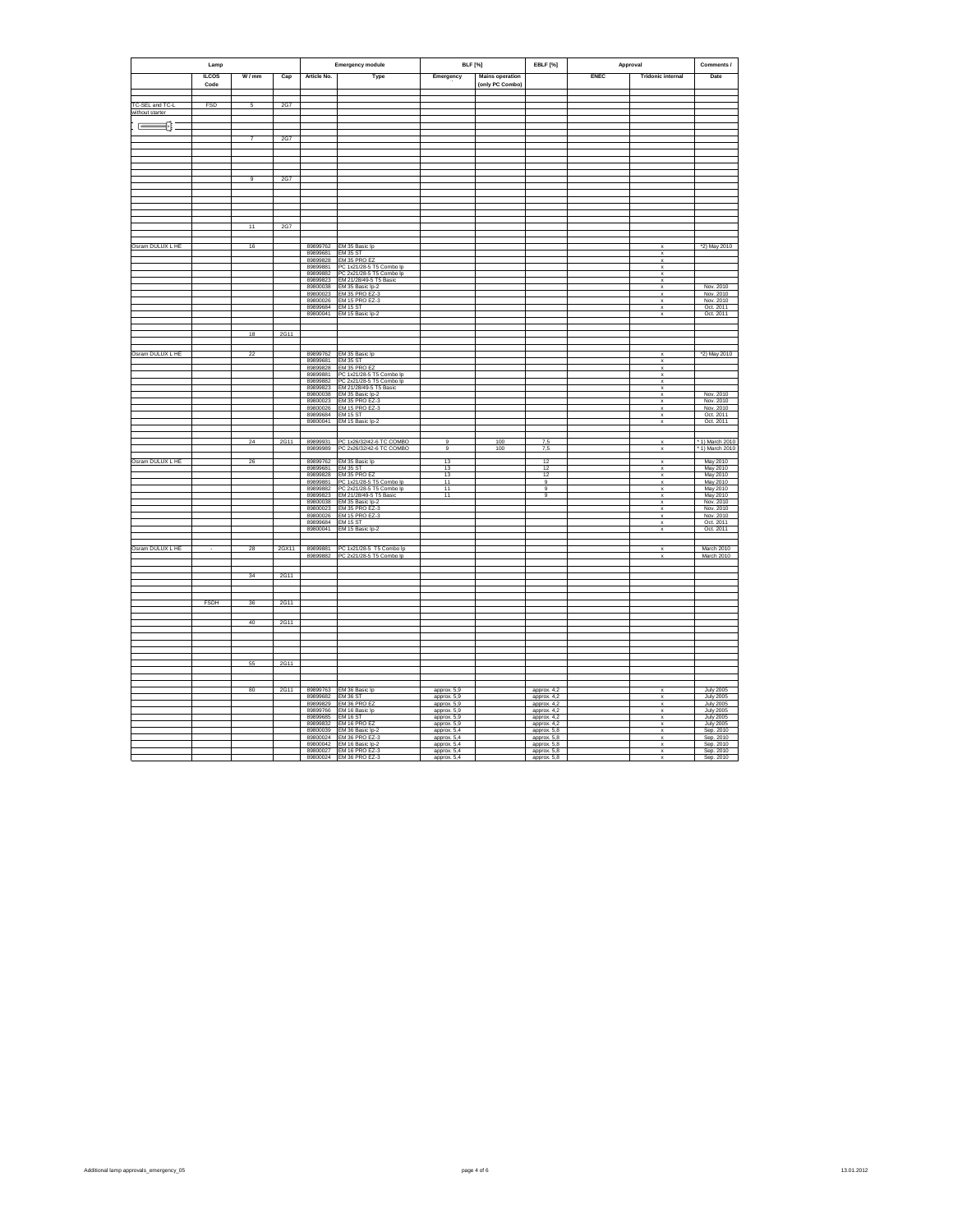| Lamp             |              |                 |       | <b>Emergency module</b> | <b>BLF</b> [%]                                                                 |                            | EBLF [%]               | Approval                     | Comments /  |                                                        |                                      |
|------------------|--------------|-----------------|-------|-------------------------|--------------------------------------------------------------------------------|----------------------------|------------------------|------------------------------|-------------|--------------------------------------------------------|--------------------------------------|
|                  | <b>ILCOS</b> | W/mm            | Cap   | Article No.             | Type                                                                           | Emergency                  | <b>Mains operation</b> |                              | <b>ENEC</b> | <b>Tridonic internal</b>                               | Date                                 |
|                  | Code         |                 |       |                         |                                                                                |                            | (only PC Combo)        |                              |             |                                                        |                                      |
|                  |              |                 |       |                         |                                                                                |                            |                        |                              |             |                                                        |                                      |
| TC-SEL and TC-L  | FSD          | 5               | 2G7   |                         |                                                                                |                            |                        |                              |             |                                                        |                                      |
| without starter  |              |                 |       |                         |                                                                                |                            |                        |                              |             |                                                        |                                      |
| ⋐═               |              |                 |       |                         |                                                                                |                            |                        |                              |             |                                                        |                                      |
|                  |              | 7               | 2G7   |                         |                                                                                |                            |                        |                              |             |                                                        |                                      |
|                  |              |                 |       |                         |                                                                                |                            |                        |                              |             |                                                        |                                      |
|                  |              |                 |       |                         |                                                                                |                            |                        |                              |             |                                                        |                                      |
|                  |              |                 |       |                         |                                                                                |                            |                        |                              |             |                                                        |                                      |
|                  |              | $\overline{9}$  | 2G7   |                         |                                                                                |                            |                        |                              |             |                                                        |                                      |
|                  |              |                 |       |                         |                                                                                |                            |                        |                              |             |                                                        |                                      |
|                  |              |                 |       |                         |                                                                                |                            |                        |                              |             |                                                        |                                      |
|                  |              |                 |       |                         |                                                                                |                            |                        |                              |             |                                                        |                                      |
|                  |              |                 |       |                         |                                                                                |                            |                        |                              |             |                                                        |                                      |
|                  |              | $\overline{11}$ | 2G7   |                         |                                                                                |                            |                        |                              |             |                                                        |                                      |
|                  |              |                 |       |                         |                                                                                |                            |                        |                              |             |                                                        |                                      |
|                  |              |                 |       |                         |                                                                                |                            |                        |                              |             |                                                        |                                      |
| Osram DULUX L HE |              | 16              |       | 89899762<br>89899681    | EM 35 Basic Ip                                                                 |                            |                        |                              |             | $\mathbf x$                                            | *2) May 2010                         |
|                  |              |                 |       | 89899828                | EM 35 ST<br>EM 35 PRO EZ                                                       |                            |                        |                              |             | $\mathbf x$                                            |                                      |
|                  |              |                 |       | 89899881<br>89899882    | PC 1x21/28-5 T5 Combo lp<br>PC 2x21/28-5 T5 Combo lp                           |                            |                        |                              |             | $\mathbf x$<br>$\boldsymbol{\mathsf{x}}$               |                                      |
|                  |              |                 |       | 89899823                | EM 21/28/49-5 T5 Basic                                                         |                            |                        |                              |             | $\boldsymbol{\mathsf{x}}$                              |                                      |
|                  |              |                 |       | 89800038<br>89800023    | EM 35 Basic Ip-2                                                               |                            |                        |                              |             | X                                                      | Nov. 2010                            |
|                  |              |                 |       | 89800026                | EM 35 PRO EZ-3<br>EM 15 PRO EZ-3                                               |                            |                        |                              |             | v                                                      | Nov. 2010<br>Nov. 2010               |
|                  |              |                 |       | 89899684                | EM <sub>15</sub> ST                                                            |                            |                        |                              |             | $\boldsymbol{\mathsf{x}}$                              | Oct 2011                             |
|                  |              |                 |       |                         | 89800041 EM 15 Basic lp-2                                                      |                            |                        |                              |             | $\boldsymbol{\mathsf{x}}$                              | Oct. 2011                            |
|                  |              |                 |       |                         |                                                                                |                            |                        |                              |             |                                                        |                                      |
|                  |              | 18              | 2G11  |                         |                                                                                |                            |                        |                              |             |                                                        |                                      |
|                  |              |                 |       |                         |                                                                                |                            |                        |                              |             |                                                        |                                      |
| Osram DULUX L HE |              | $\overline{22}$ |       |                         | 89899762 EM 35 Basic Ip<br>89899681 EM 35 ST                                   |                            |                        |                              |             | ×                                                      | *2) May 2010                         |
|                  |              |                 |       | 89899828                | EM 35 PRO EZ                                                                   |                            |                        |                              |             | $\mathbf x$<br>$\boldsymbol{\mathsf{x}}$               |                                      |
|                  |              |                 |       | 89899881                | PC 1x21/28-5 T5 Combo Ip                                                       |                            |                        |                              |             | $\boldsymbol{\mathsf{x}}$                              |                                      |
|                  |              |                 |       | 89899882                | PC 2x21/28-5 T5 Combo Ip<br>89899823 EM 21/28/49-5 T5 Basic                    |                            |                        |                              |             | x<br>$\boldsymbol{\mathsf{x}}$                         |                                      |
|                  |              |                 |       | 89800038                | EM 35 Basic Ip-2                                                               |                            |                        |                              |             | $\boldsymbol{\mathsf{x}}$                              | Nov. 2010                            |
|                  |              |                 |       | 89800023<br>89800026    | EM 35 PRO EZ-3<br>EM 15 PRO EZ-3                                               |                            |                        |                              |             | $\boldsymbol{\mathsf{x}}$<br>$\boldsymbol{\mathsf{x}}$ | Nov. 2010<br>Nov. 2010               |
|                  |              |                 |       | 89899684                | EM 15 ST                                                                       |                            |                        |                              |             | x                                                      | Oct. 2011                            |
|                  |              |                 |       | 89800041                | EM 15 Basic Ip-2                                                               |                            |                        |                              |             | $\mathbf x$                                            | Oct. 2011                            |
|                  |              |                 |       |                         |                                                                                |                            |                        |                              |             |                                                        |                                      |
|                  |              | 24              | 2G11  | 89899931                | PC 1x26/32/42-6 TC COMBO                                                       | $\overline{9}$             | 100                    | 7.5                          |             | $\overline{\mathbf{x}}$                                | 1) March 2010                        |
|                  |              |                 |       | 89899989                | PC 2x26/32/42-6 TC COMBO                                                       | $^{9}$                     | 100                    | 7,5                          |             | $\mathbf x$                                            | * 1) March 2010                      |
| Osram DULUX L HE |              | 26              |       | 89899762                | EM 35 Basic Ip                                                                 | 13                         |                        | 12                           |             | $\boldsymbol{\mathsf{x}}$                              | May 2010                             |
|                  |              |                 |       | 89899681<br>89899828    | <b>EM 35 ST</b><br>EM 35 PRO EZ                                                | 13<br>13                   |                        | 12<br>12                     |             | ×<br>x                                                 | May 2010<br>May 2010                 |
|                  |              |                 |       | 89899881                | PC 1x21/28-5 T5 Combo lp<br>PC 2x21/28-5 T5 Combo lp<br>EM 21/28/49-5 T5 Basic | 11                         |                        | $\overline{a}$               |             | ×                                                      | May 2010                             |
|                  |              |                 |       | 89899882<br>89899823    |                                                                                | 11<br>$\overline{11}$      |                        | $\mathbf{q}$<br>$\mathbf{Q}$ |             | $\mathbf{x}$<br>$\mathbf x$                            | May 2010<br>May 2010                 |
|                  |              |                 |       | 89800038                | EM 35 Basic Ip-2                                                               |                            |                        |                              |             | $\boldsymbol{\mathsf{x}}$                              | Nov. 2010                            |
|                  |              |                 |       | 89800023                | EM 35 PRO EZ-3                                                                 |                            |                        |                              |             | x                                                      | Nov. 2010                            |
|                  |              |                 |       | 89800026<br>89899684    | EM 15 PRO EZ-3<br><b>EM 15 ST</b>                                              |                            |                        |                              |             | $\boldsymbol{\mathsf{x}}$<br>$\pmb{\mathsf{x}}$        | Nov. 2010<br>Oct. 2011               |
|                  |              |                 |       | 89800041                | EM 15 Basic Ip-2                                                               |                            |                        |                              |             | $\mathbf{x}$                                           | Oct. 2011                            |
|                  |              |                 |       |                         |                                                                                |                            |                        |                              |             |                                                        |                                      |
| Osram DULUX L HE |              | 28              | 2GX11 | 89899881                | PC 1x21/28-5 T5 Combo lp                                                       |                            |                        |                              |             | $\mathbf x$                                            | March 2010                           |
|                  |              |                 |       | 89899882                | PC 2x21/28-5 T5 Combo lp                                                       |                            |                        |                              |             |                                                        | March 2010                           |
|                  |              |                 |       |                         |                                                                                |                            |                        |                              |             |                                                        |                                      |
|                  |              | 34              | 2G11  |                         |                                                                                |                            |                        |                              |             |                                                        |                                      |
|                  |              |                 |       |                         |                                                                                |                            |                        |                              |             |                                                        |                                      |
|                  |              |                 | 2G11  |                         |                                                                                |                            |                        |                              |             |                                                        |                                      |
|                  | <b>FSDH</b>  | 36              |       |                         |                                                                                |                            |                        |                              |             |                                                        |                                      |
|                  |              |                 |       |                         |                                                                                |                            |                        |                              |             |                                                        |                                      |
|                  |              | 40              | 2G11  |                         |                                                                                |                            |                        |                              |             |                                                        |                                      |
|                  |              |                 |       |                         |                                                                                |                            |                        |                              |             |                                                        |                                      |
|                  |              |                 |       |                         |                                                                                |                            |                        |                              |             |                                                        |                                      |
|                  |              |                 |       |                         |                                                                                |                            |                        |                              |             |                                                        |                                      |
|                  |              | 55              | 2G11  |                         |                                                                                |                            |                        |                              |             |                                                        |                                      |
|                  |              |                 |       |                         |                                                                                |                            |                        |                              |             |                                                        |                                      |
|                  |              |                 |       |                         |                                                                                |                            |                        |                              |             |                                                        |                                      |
|                  |              | 80              | 2G11  | 89899763<br>89899682    | EM 36 Basic Ip<br><b>EM 36 ST</b>                                              | approx, 5.9<br>approx 5,9  |                        | approx. 4.2<br>approx. 4,2   |             | $\boldsymbol{\mathsf{x}}$<br>$\boldsymbol{\mathsf{x}}$ | <b>July 2005</b><br><b>July 2005</b> |
|                  |              |                 |       | 89899829                | EM 36 PRO EZ                                                                   | approx. 5,9                |                        | approx. 4,2                  |             | $\mathsf{x}$                                           | <b>July 2005</b>                     |
|                  |              |                 |       | 89899766<br>89899685    | EM 16 Basic Ip<br><b>EM 16 ST</b>                                              | approx. 5,9<br>approx. 5,9 |                        | approx. 4,2<br>approx. 4,2   |             | $\boldsymbol{\times}$<br>$\mathbf x$                   | <b>July 2005</b><br><b>July 2005</b> |
|                  |              |                 |       | 89899832                | EM 16 PRO EZ                                                                   | approx. 5,9                |                        | approx. 4,2                  |             | $\mathbf{x}$                                           | <b>July 2005</b>                     |
|                  |              |                 |       | 89800039<br>89800024    | EM 36 Basic Ip-2<br>EM 36 PRO EZ-3                                             | approx. 5.4<br>approx. 5,4 |                        | approx, 5.8<br>approx. 5,8   |             | $\mathbf x$<br>$\boldsymbol{\mathsf{x}}$               | Sep. 2010<br>Sep. 2010               |
|                  |              |                 |       | 89800042                | EM 16 Basic Ip-2                                                               | approx 5,4                 |                        | approx. 5,8                  |             | $\boldsymbol{\mathsf{x}}$                              | Sep. 2010                            |
|                  |              |                 |       | 89800027                | EM 16 PRO EZ-3                                                                 | approx. 5,4                |                        | approx. 5,8                  |             |                                                        | Sep. 2010                            |
|                  |              |                 |       |                         | 89800024 EM 36 PRO EZ-3                                                        | approx 5.4                 |                        | approx, 5.8                  |             |                                                        | Sep. 2010                            |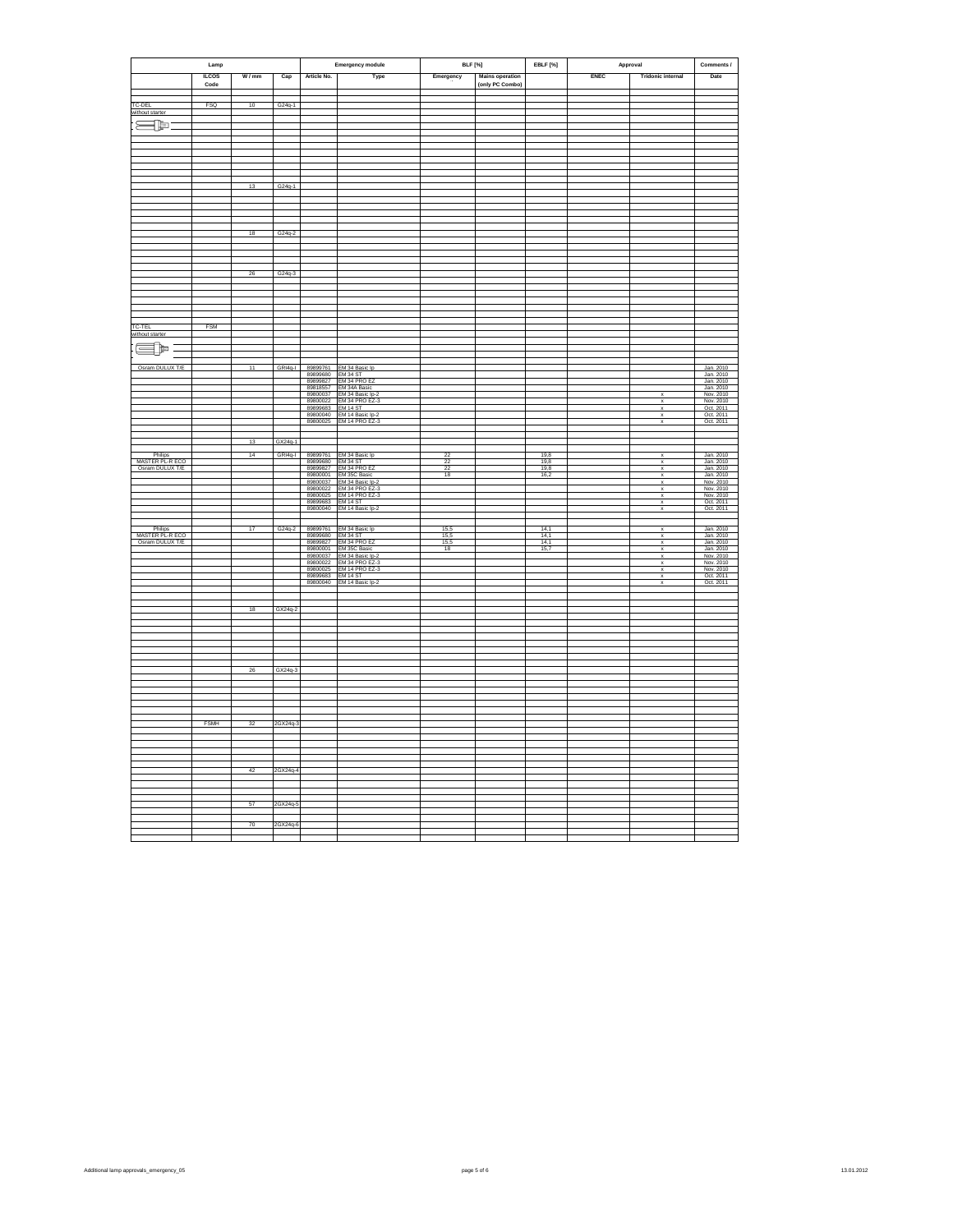|                                    | Lamp         |                 |                         |                      |                                                                                                                                                                                                                   |                     |                        | EBLF [%]            | Approval |                                | Comments /                                                                 |
|------------------------------------|--------------|-----------------|-------------------------|----------------------|-------------------------------------------------------------------------------------------------------------------------------------------------------------------------------------------------------------------|---------------------|------------------------|---------------------|----------|--------------------------------|----------------------------------------------------------------------------|
|                                    |              |                 | <b>Emergency module</b> |                      | <b>BLF</b> [%]                                                                                                                                                                                                    |                     |                        |                     |          |                                |                                                                            |
|                                    | <b>ILCOS</b> | W/mm            | Cap                     | Article No.          | Type                                                                                                                                                                                                              | Emergency           | <b>Mains operation</b> |                     | ENEC     | <b>Tridonic internal</b>       | Date                                                                       |
|                                    | Code         |                 |                         |                      |                                                                                                                                                                                                                   |                     | (only PC Combo)        |                     |          |                                |                                                                            |
|                                    |              |                 |                         |                      |                                                                                                                                                                                                                   |                     |                        |                     |          |                                |                                                                            |
| TC-DEL<br>without starter          | FSQ          | 10              | G24q-1                  |                      |                                                                                                                                                                                                                   |                     |                        |                     |          |                                |                                                                            |
|                                    |              |                 |                         |                      |                                                                                                                                                                                                                   |                     |                        |                     |          |                                |                                                                            |
| $\equiv$ p                         |              |                 |                         |                      |                                                                                                                                                                                                                   |                     |                        |                     |          |                                |                                                                            |
|                                    |              |                 |                         |                      |                                                                                                                                                                                                                   |                     |                        |                     |          |                                |                                                                            |
|                                    |              |                 |                         |                      |                                                                                                                                                                                                                   |                     |                        |                     |          |                                |                                                                            |
|                                    |              |                 |                         |                      |                                                                                                                                                                                                                   |                     |                        |                     |          |                                |                                                                            |
|                                    |              |                 |                         |                      |                                                                                                                                                                                                                   |                     |                        |                     |          |                                |                                                                            |
|                                    |              |                 |                         |                      |                                                                                                                                                                                                                   |                     |                        |                     |          |                                |                                                                            |
|                                    |              | 13              | G24q-1                  |                      |                                                                                                                                                                                                                   |                     |                        |                     |          |                                |                                                                            |
|                                    |              |                 |                         |                      |                                                                                                                                                                                                                   |                     |                        |                     |          |                                |                                                                            |
|                                    |              |                 |                         |                      |                                                                                                                                                                                                                   |                     |                        |                     |          |                                |                                                                            |
|                                    |              |                 |                         |                      |                                                                                                                                                                                                                   |                     |                        |                     |          |                                |                                                                            |
|                                    |              |                 |                         |                      |                                                                                                                                                                                                                   |                     |                        |                     |          |                                |                                                                            |
|                                    |              | 18              | $G24q-2$                |                      |                                                                                                                                                                                                                   |                     |                        |                     |          |                                |                                                                            |
|                                    |              |                 |                         |                      |                                                                                                                                                                                                                   |                     |                        |                     |          |                                |                                                                            |
|                                    |              |                 |                         |                      |                                                                                                                                                                                                                   |                     |                        |                     |          |                                |                                                                            |
|                                    |              |                 |                         |                      |                                                                                                                                                                                                                   |                     |                        |                     |          |                                |                                                                            |
|                                    |              | 26              |                         |                      |                                                                                                                                                                                                                   |                     |                        |                     |          |                                |                                                                            |
|                                    |              |                 | $G24q-3$                |                      |                                                                                                                                                                                                                   |                     |                        |                     |          |                                |                                                                            |
|                                    |              |                 |                         |                      |                                                                                                                                                                                                                   |                     |                        |                     |          |                                |                                                                            |
|                                    |              |                 |                         |                      |                                                                                                                                                                                                                   |                     |                        |                     |          |                                |                                                                            |
|                                    |              |                 |                         |                      |                                                                                                                                                                                                                   |                     |                        |                     |          |                                |                                                                            |
|                                    |              |                 |                         |                      |                                                                                                                                                                                                                   |                     |                        |                     |          |                                |                                                                            |
| TC-TEL                             | FSM          |                 |                         |                      |                                                                                                                                                                                                                   |                     |                        |                     |          |                                |                                                                            |
| without starter                    |              |                 |                         |                      |                                                                                                                                                                                                                   |                     |                        |                     |          |                                |                                                                            |
|                                    |              |                 |                         |                      |                                                                                                                                                                                                                   |                     |                        |                     |          |                                |                                                                            |
| æþ                                 |              |                 |                         |                      |                                                                                                                                                                                                                   |                     |                        |                     |          |                                |                                                                            |
|                                    |              |                 |                         |                      |                                                                                                                                                                                                                   |                     |                        |                     |          |                                |                                                                            |
| Osram DULUX T/E                    |              | 11              |                         | 89899680             | GRI4q-I 89899761 EM 34 Basic Ip<br>EM 34 ST                                                                                                                                                                       |                     |                        |                     |          |                                | Jan. 2010<br>Jan. 2010                                                     |
|                                    |              |                 |                         | 89899827             | EM 34 PRO EZ                                                                                                                                                                                                      |                     |                        |                     |          |                                | Jan. 2010<br>Jan. 2010                                                     |
|                                    |              |                 |                         | 89818557             |                                                                                                                                                                                                                   |                     |                        |                     |          | $\boldsymbol{\mathsf{x}}$      |                                                                            |
|                                    |              |                 |                         |                      | 89800037 EM 34 Basic Ip-2<br>89800022 EM 34 PRO EZ-3                                                                                                                                                              |                     |                        |                     |          | $\mathbf x$                    | Nov. 2010<br>Nov. 2010                                                     |
|                                    |              |                 |                         |                      | 89899683 EM 14 ST<br>89800040 EM 14 Basic Ip-2                                                                                                                                                                    |                     |                        |                     |          | $\frac{x}{x}$                  | Oct. 2011<br>Oct. 2011                                                     |
|                                    |              |                 |                         | 89800025             | EM 14 PRO EZ-3                                                                                                                                                                                                    |                     |                        |                     |          | X                              | Oct. 2011                                                                  |
|                                    |              |                 |                         |                      |                                                                                                                                                                                                                   |                     |                        |                     |          |                                |                                                                            |
|                                    |              | 13              | GX24q-1                 |                      |                                                                                                                                                                                                                   |                     |                        |                     |          |                                |                                                                            |
|                                    |              |                 |                         |                      |                                                                                                                                                                                                                   |                     |                        |                     |          |                                |                                                                            |
| Philips                            |              | $\overline{14}$ |                         |                      | GRI4q-I 89899761 EM 34 Basic Ip                                                                                                                                                                                   | 22                  |                        | 19.8                |          | $\overline{\mathbf{x}}$        | Jan. 2010                                                                  |
| MASTER PL-R ECO<br>Osram DULUX T/E |              |                 |                         |                      | 89899761 EM 34 Basic Ip<br>89899680 EM 34 ST<br>89899827 EM 34 PRO EZ<br>89800001 EM 36C Basic Ip-2<br>89800022 EM 34 PRO EZ-3<br>89800022 EM 34 PRO EZ-3<br>898096833 EM 14 PRO EZ-3<br>898096833 EM 14 BT-11-11 | $\frac{22}{22}$     |                        | 19,8<br>19,8        |          | $\mathbf x$<br>X               | Jan. 2010<br>Jan. 2010<br>Jan. 2010<br>Jan. 2010<br>Nov. 2010<br>Nov. 2010 |
|                                    |              |                 |                         |                      |                                                                                                                                                                                                                   | 18                  |                        | 16,2                |          | $\mathsf x$                    |                                                                            |
|                                    |              |                 |                         |                      |                                                                                                                                                                                                                   |                     |                        |                     |          | v                              |                                                                            |
|                                    |              |                 |                         |                      |                                                                                                                                                                                                                   |                     |                        |                     |          | $\mathbf x$<br>X               |                                                                            |
|                                    |              |                 |                         |                      |                                                                                                                                                                                                                   |                     |                        |                     |          | $\boldsymbol{\mathsf{x}}$      | Oct. 2011                                                                  |
|                                    |              |                 |                         |                      | 89800040 EM 14 Basic lp-2                                                                                                                                                                                         |                     |                        |                     |          | $\boldsymbol{\mathsf{x}}$      | Oct. 2011                                                                  |
|                                    |              |                 |                         |                      |                                                                                                                                                                                                                   |                     |                        |                     |          |                                |                                                                            |
| Philips<br>MASTER PL-R ECO         |              | $\overline{17}$ | G24q-2                  | 89899761<br>89899680 | EM 34 Basic Ip<br>EM 34 ST<br>EM 34 PRO EZ<br>EM 35C Basic                                                                                                                                                        | 15.5                |                        | 141                 |          | $\overline{\mathbf{x}}$        | Jan. 2010                                                                  |
| Osram DULUX T/E                    |              |                 |                         | 89899827             |                                                                                                                                                                                                                   | $\frac{15.5}{15.5}$ |                        | 14,1                |          | $\boldsymbol{\mathsf{x}}$<br>x | Jan. 2010<br>Jan. 2010                                                     |
|                                    |              |                 |                         | 89800001             |                                                                                                                                                                                                                   | 18                  |                        | $\frac{14.1}{15.7}$ |          | $\boldsymbol{\mathsf{x}}$      | Jan. 2010                                                                  |
|                                    |              |                 |                         | 89800037             | EM 34 Basic lp-2                                                                                                                                                                                                  |                     |                        |                     |          | x<br>$\mathbf{x}$              | Nov. 2010<br>Nov. 2010                                                     |
|                                    |              |                 |                         |                      | 89800022 EM 34 PRO EZ-3<br>89800025 EM 14 PRO EZ-3                                                                                                                                                                |                     |                        |                     |          | x                              | Nov. 2010                                                                  |
|                                    |              |                 |                         |                      | 89899683 EM 14 ST<br>89800040 EM 14 Basic Ip-2                                                                                                                                                                    |                     |                        |                     |          | $\boldsymbol{\mathbf{x}}$      | Oct. 2011<br>Oct. 2011                                                     |
|                                    |              |                 |                         |                      |                                                                                                                                                                                                                   |                     |                        |                     |          | $\boldsymbol{\mathsf{x}}$      |                                                                            |
|                                    |              |                 |                         |                      |                                                                                                                                                                                                                   |                     |                        |                     |          |                                |                                                                            |
|                                    |              | 18              | GX24q-2                 |                      |                                                                                                                                                                                                                   |                     |                        |                     |          |                                |                                                                            |
|                                    |              |                 |                         |                      |                                                                                                                                                                                                                   |                     |                        |                     |          |                                |                                                                            |
|                                    |              |                 |                         |                      |                                                                                                                                                                                                                   |                     |                        |                     |          |                                |                                                                            |
|                                    |              |                 |                         |                      |                                                                                                                                                                                                                   |                     |                        |                     |          |                                |                                                                            |
|                                    |              |                 |                         |                      |                                                                                                                                                                                                                   |                     |                        |                     |          |                                |                                                                            |
|                                    |              |                 |                         |                      |                                                                                                                                                                                                                   |                     |                        |                     |          |                                |                                                                            |
|                                    |              |                 |                         |                      |                                                                                                                                                                                                                   |                     |                        |                     |          |                                |                                                                            |
|                                    |              | 26              | GX24q-3                 |                      |                                                                                                                                                                                                                   |                     |                        |                     |          |                                |                                                                            |
|                                    |              |                 |                         |                      |                                                                                                                                                                                                                   |                     |                        |                     |          |                                |                                                                            |
|                                    |              |                 |                         |                      |                                                                                                                                                                                                                   |                     |                        |                     |          |                                |                                                                            |
|                                    |              |                 |                         |                      |                                                                                                                                                                                                                   |                     |                        |                     |          |                                |                                                                            |
|                                    |              |                 |                         |                      |                                                                                                                                                                                                                   |                     |                        |                     |          |                                |                                                                            |
|                                    | FSMH         | 32              | 2GX24q-3                |                      |                                                                                                                                                                                                                   |                     |                        |                     |          |                                |                                                                            |
|                                    |              |                 |                         |                      |                                                                                                                                                                                                                   |                     |                        |                     |          |                                |                                                                            |
|                                    |              |                 |                         |                      |                                                                                                                                                                                                                   |                     |                        |                     |          |                                |                                                                            |
|                                    |              |                 |                         |                      |                                                                                                                                                                                                                   |                     |                        |                     |          |                                |                                                                            |
|                                    |              |                 |                         |                      |                                                                                                                                                                                                                   |                     |                        |                     |          |                                |                                                                            |
|                                    |              | 42              | 2GX24q-4                |                      |                                                                                                                                                                                                                   |                     |                        |                     |          |                                |                                                                            |
|                                    |              |                 |                         |                      |                                                                                                                                                                                                                   |                     |                        |                     |          |                                |                                                                            |
|                                    |              |                 |                         |                      |                                                                                                                                                                                                                   |                     |                        |                     |          |                                |                                                                            |
|                                    |              |                 |                         |                      |                                                                                                                                                                                                                   |                     |                        |                     |          |                                |                                                                            |
|                                    |              | 57              | 2GX24q-5                |                      |                                                                                                                                                                                                                   |                     |                        |                     |          |                                |                                                                            |
|                                    |              |                 |                         |                      |                                                                                                                                                                                                                   |                     |                        |                     |          |                                |                                                                            |
|                                    |              | 70              | 2GX24q-6                |                      |                                                                                                                                                                                                                   |                     |                        |                     |          |                                |                                                                            |
|                                    |              |                 |                         |                      |                                                                                                                                                                                                                   |                     |                        |                     |          |                                |                                                                            |
|                                    |              |                 |                         |                      |                                                                                                                                                                                                                   |                     |                        |                     |          |                                |                                                                            |